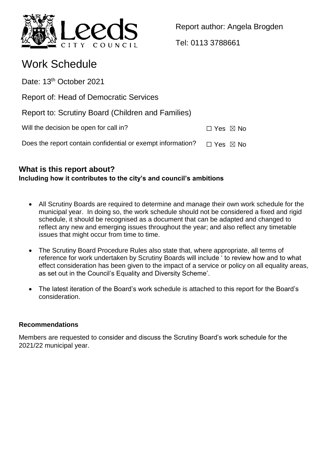

Report author: Angela Brogden

Tel: 0113 3788661

# Work Schedule

Date: 13<sup>th</sup> October 2021

Report of: Head of Democratic Services

Report to: Scrutiny Board (Children and Families)

Will the decision be open for call in?  $\Box$  Yes  $\boxtimes$  No

Does the report contain confidential or exempt information?  $\Box$  Yes  $\boxtimes$  No

## **What is this report about? Including how it contributes to the city's and council's ambitions**

- All Scrutiny Boards are required to determine and manage their own work schedule for the municipal year. In doing so, the work schedule should not be considered a fixed and rigid schedule, it should be recognised as a document that can be adapted and changed to reflect any new and emerging issues throughout the year; and also reflect any timetable issues that might occur from time to time.
- The Scrutiny Board Procedure Rules also state that, where appropriate, all terms of reference for work undertaken by Scrutiny Boards will include ' to review how and to what effect consideration has been given to the impact of a service or policy on all equality areas, as set out in the Council's Equality and Diversity Scheme'.
- The latest iteration of the Board's work schedule is attached to this report for the Board's consideration.

## **Recommendations**

Members are requested to consider and discuss the Scrutiny Board's work schedule for the 2021/22 municipal year.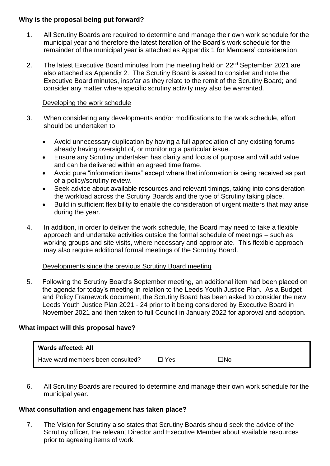## **Why is the proposal being put forward?**

- 1. All Scrutiny Boards are required to determine and manage their own work schedule for the municipal year and therefore the latest iteration of the Board's work schedule for the remainder of the municipal year is attached as Appendix 1 for Members' consideration.
- 2. The latest Executive Board minutes from the meeting held on 22<sup>nd</sup> September 2021 are also attached as Appendix 2. The Scrutiny Board is asked to consider and note the Executive Board minutes, insofar as they relate to the remit of the Scrutiny Board; and consider any matter where specific scrutiny activity may also be warranted.

## Developing the work schedule

- 3. When considering any developments and/or modifications to the work schedule, effort should be undertaken to:
	- Avoid unnecessary duplication by having a full appreciation of any existing forums already having oversight of, or monitoring a particular issue.
	- Ensure any Scrutiny undertaken has clarity and focus of purpose and will add value and can be delivered within an agreed time frame.
	- Avoid pure "information items" except where that information is being received as part of a policy/scrutiny review.
	- Seek advice about available resources and relevant timings, taking into consideration the workload across the Scrutiny Boards and the type of Scrutiny taking place.
	- Build in sufficient flexibility to enable the consideration of urgent matters that may arise during the year.
- 4. In addition, in order to deliver the work schedule, the Board may need to take a flexible approach and undertake activities outside the formal schedule of meetings – such as working groups and site visits, where necessary and appropriate. This flexible approach may also require additional formal meetings of the Scrutiny Board.

### Developments since the previous Scrutiny Board meeting

5. Following the Scrutiny Board's September meeting, an additional item had been placed on the agenda for today's meeting in relation to the Leeds Youth Justice Plan. As a Budget and Policy Framework document, the Scrutiny Board has been asked to consider the new Leeds Youth Justice Plan 2021 - 24 prior to it being considered by Executive Board in November 2021 and then taken to full Council in January 2022 for approval and adoption.

## **What impact will this proposal have?**

| <b>Wards affected: All</b>        |       |     |  |
|-----------------------------------|-------|-----|--|
| Have ward members been consulted? | ™ Yes | ⊤No |  |

6. All Scrutiny Boards are required to determine and manage their own work schedule for the municipal year.

## **What consultation and engagement has taken place?**

7. The Vision for Scrutiny also states that Scrutiny Boards should seek the advice of the Scrutiny officer, the relevant Director and Executive Member about available resources prior to agreeing items of work.